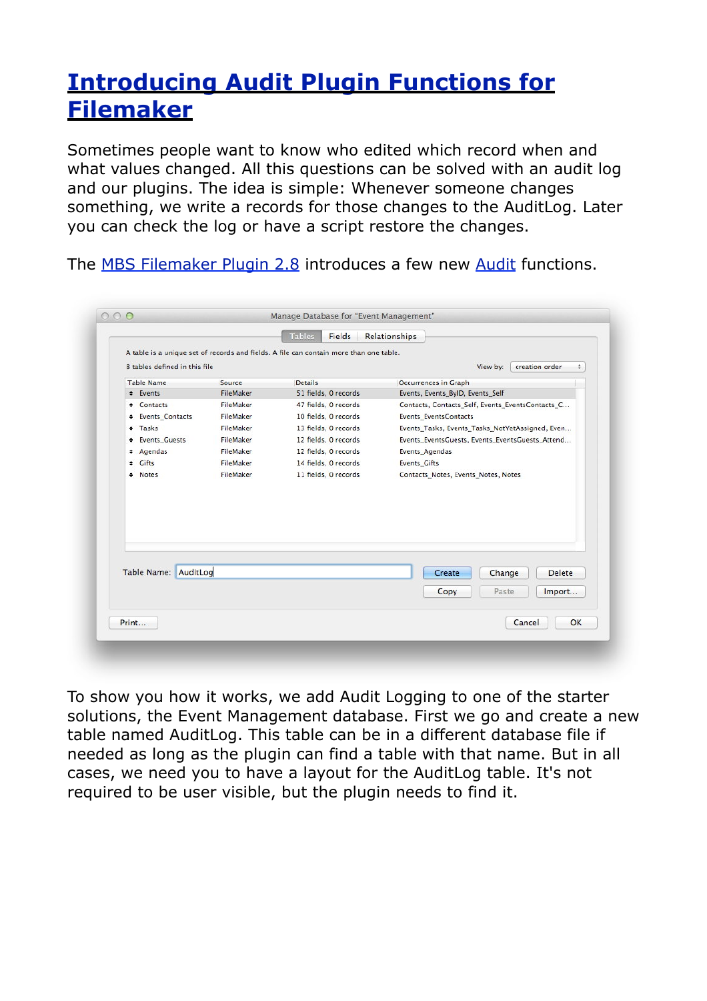## **[Introducing Audit Plugin Functions for](http://www.mbsplugins.de/archive/2012-08-01/Introducing_Audit_Plugin_Funct)  [Filemaker](http://www.mbsplugins.de/archive/2012-08-01/Introducing_Audit_Plugin_Funct)**

Sometimes people want to know who edited which record when and what values changed. All this questions can be solved with an audit log and our plugins. The idea is simple: Whenever someone changes something, we write a records for those changes to the AuditLog. Later you can check the log or have a script restore the changes.

The [MBS Filemaker Plugin 2.8](http://www.monkeybreadsoftware.de/filemaker/) introduces a few new [Audit](http://www.mbsplugins.eu/component_Audit.shtml) functions.

|                                                                                                                         |                  | <b>Tables</b><br>Fields | Relationships                                    |
|-------------------------------------------------------------------------------------------------------------------------|------------------|-------------------------|--------------------------------------------------|
| A table is a unique set of records and fields. A file can contain more than one table.<br>8 tables defined in this file |                  |                         | creation order<br>View by:<br>÷                  |
| <b>Table Name</b>                                                                                                       | Source           | <b>Details</b>          | Occurrences in Graph                             |
| # Events                                                                                                                | <b>FileMaker</b> | 51 fields, 0 records    | Events, Events_ByID, Events_Self                 |
| <b>Contacts</b>                                                                                                         | <b>FileMaker</b> | 47 fields, 0 records    | Contacts, Contacts_Self, Events_EventsContacts_C |
| <b>+ Events_Contacts</b>                                                                                                | FileMaker        | 10 fields, 0 records    | Events EventsContacts                            |
| # Tasks                                                                                                                 | FileMaker        | 13 fields, 0 records    | Events_Tasks, Events_Tasks_NotYetAssigned, Even  |
| + Events_Guests                                                                                                         | FileMaker        | 12 fields, 0 records    | Events_EventsGuests, Events_EventsGuests_Attend  |
| + Agendas                                                                                                               | FileMaker        | 12 fields, 0 records    | Events Agendas                                   |
| # Gifts                                                                                                                 | FileMaker        | 14 fields, 0 records    | <b>Events Gifts</b>                              |
| # Notes                                                                                                                 | FileMaker        | 11 fields, 0 records    | Contacts_Notes, Events_Notes, Notes              |
| Table Name: AuditLog                                                                                                    |                  |                         | <b>Delete</b><br>Create<br>Change                |
|                                                                                                                         |                  |                         |                                                  |
|                                                                                                                         |                  |                         | Copy<br>Paste<br>Import                          |
|                                                                                                                         |                  |                         | OK<br>Cancel                                     |

To show you how it works, we add Audit Logging to one of the starter solutions, the Event Management database. First we go and create a new table named AuditLog. This table can be in a different database file if needed as long as the plugin can find a table with that name. But in all cases, we need you to have a layout for the AuditLog table. It's not required to be user visible, but the plugin needs to find it.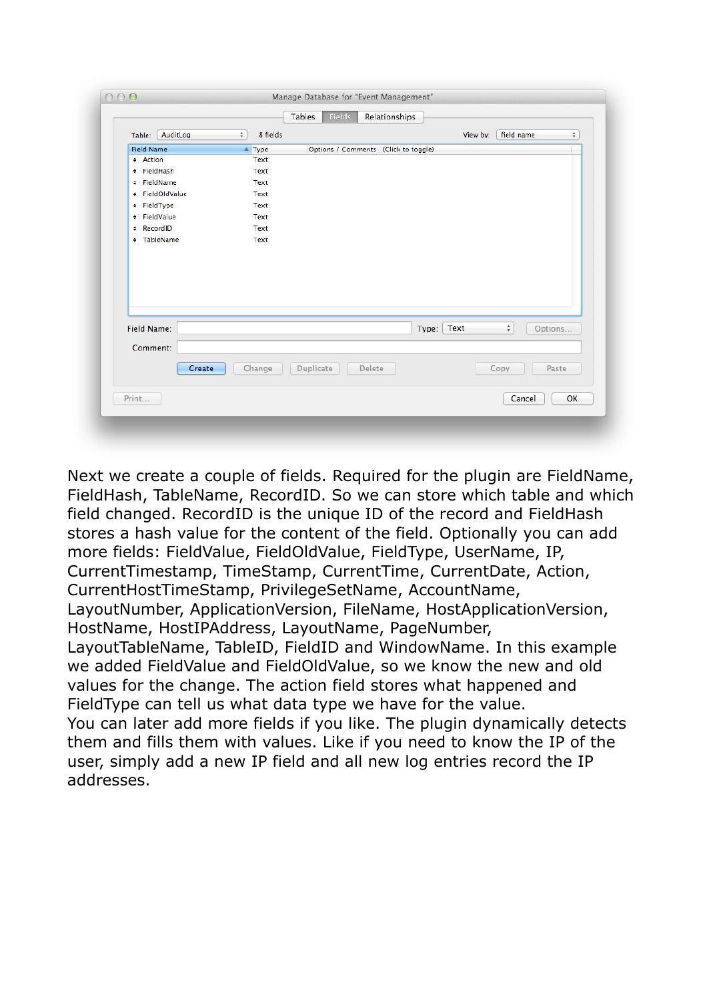|                   |                 |                    |           | <b>Fields</b><br>Relationships       |            |          |            |              |
|-------------------|-----------------|--------------------|-----------|--------------------------------------|------------|----------|------------|--------------|
| Table:            | AuditLog        | 8 fields<br>$\div$ |           |                                      |            | View by: | field name | $\hat{\div}$ |
| <b>Field Name</b> |                 | AType              |           | Options / Comments (Click to toggle) |            |          |            |              |
| <b>*</b> Action   |                 | Text               |           |                                      |            |          |            |              |
| # FieldHash       |                 | Text               |           |                                      |            |          |            |              |
| + FieldName       |                 | Text               |           |                                      |            |          |            |              |
|                   | # FieldOldValue | Text               |           |                                      |            |          |            |              |
| + FieldType       |                 | Text               |           |                                      |            |          |            |              |
| + FieldValue      |                 | Text               |           |                                      |            |          |            |              |
| * RecordID        |                 | Text               |           |                                      |            |          |            |              |
|                   | # TableName     | Text               |           |                                      |            |          |            |              |
|                   |                 |                    |           |                                      |            |          |            |              |
| Field Name:       |                 |                    |           |                                      | Type: Text |          | $\div$     | Options      |
| Comment:          |                 |                    |           |                                      |            |          |            |              |
|                   | Create          | Change             | Duplicate | Delete                               |            |          | Copy       | Paste        |

Next we create a couple of fields. Required for the plugin are FieldName, FieldHash, TableName, RecordID. So we can store which table and which field changed. RecordID is the unique ID of the record and FieldHash stores a hash value for the content of the field. Optionally you can add more fields: FieldValue, FieldOldValue, FieldType, UserName, IP, CurrentTimestamp, TimeStamp, CurrentTime, CurrentDate, Action, CurrentHostTimeStamp, PrivilegeSetName, AccountName, LayoutNumber, ApplicationVersion, FileName, HostApplicationVersion, HostName, HostIPAddress, LayoutName, PageNumber, LayoutTableName, TableID, FieldID and WindowName. In this example we added FieldValue and FieldOldValue, so we know the new and old values for the change. The action field stores what happened and FieldType can tell us what data type we have for the value. You can later add more fields if you like. The plugin dynamically detects them and fills them with values. Like if you need to know the IP of the user, simply add a new IP field and all new log entries record the IP addresses.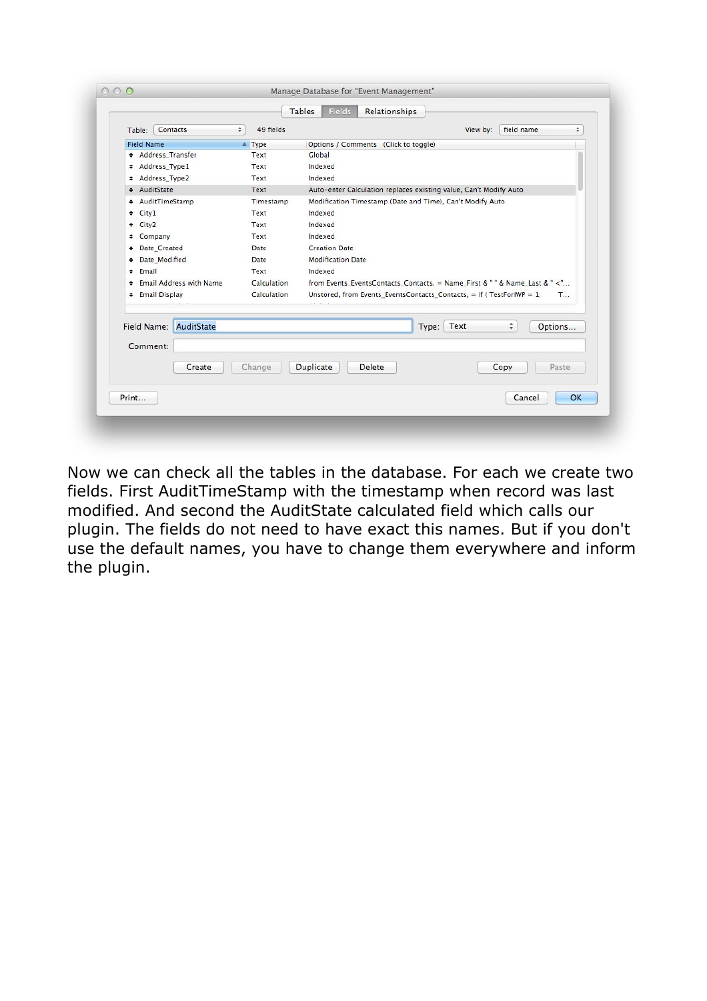|                                |                            | <b>Fields</b><br><b>Tables</b><br>Relationships                                          |
|--------------------------------|----------------------------|------------------------------------------------------------------------------------------|
| Contacts<br>Table:             | 49 fields<br>$\frac{1}{T}$ | field name<br>View by:<br>÷                                                              |
| <b>Field Name</b>              | $\triangle$ Type           | Options / Comments (Click to toggle)                                                     |
| <b>* Address Transfer</b>      | Text                       | Global                                                                                   |
| # Address Type1                | Text                       | Indexed                                                                                  |
| + Address Type2                | Text                       | Indexed                                                                                  |
| + AuditState                   | Text                       | Auto-enter Calculation replaces existing value, Can't Modify Auto                        |
| # AuditTimeStamp               | Timestamp                  | Modification Timestamp (Date and Time), Can't Modify Auto                                |
| $\div$ City1                   | Text                       | Indexed                                                                                  |
| + City2                        | Text                       | Indexed                                                                                  |
| + Company                      | Text                       | Indexed                                                                                  |
| <b>+ Date_Created</b>          | Date                       | <b>Creation Date</b>                                                                     |
| <b>+ Date Modified</b>         | Date                       | <b>Modification Date</b>                                                                 |
| + Email                        | Text                       | Indexed                                                                                  |
| <b>Email Address with Name</b> | Calculation                | from Events EventsContacts Contacts, = Name First & " " & Name Last & " <"               |
| <b>+ Email Display</b>         | Calculation                | Unstored, from Events EventsContacts Contacts, = If (TestForIWP = 1;<br>$T_{\text{max}}$ |
| AuditState<br>Field Name:      |                            | Type: Text<br>÷<br>Options                                                               |
| Comment:                       |                            |                                                                                          |
| Create                         | Change                     | <b>Duplicate</b><br><b>Delete</b><br>Copy<br>Paste                                       |
| Print                          |                            | OK<br>Cancel                                                                             |

Now we can check all the tables in the database. For each we create two fields. First AuditTimeStamp with the timestamp when record was last modified. And second the AuditState calculated field which calls our plugin. The fields do not need to have exact this names. But if you don't use the default names, you have to change them everywhere and inform the plugin.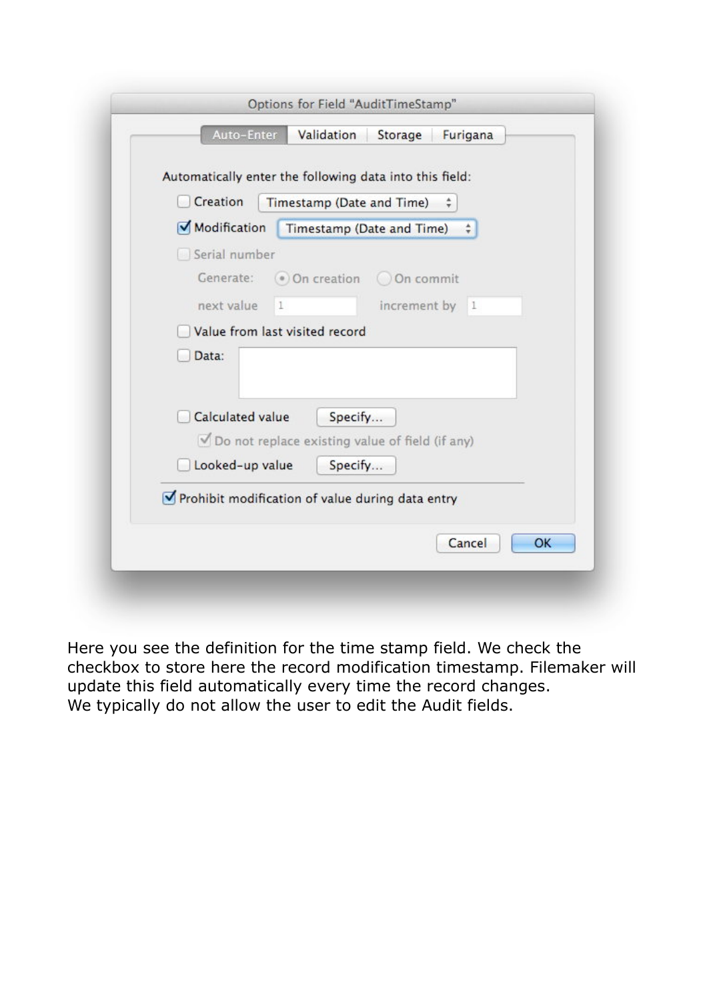| Modification<br>Timestamp (Date and Time)<br>$\div$<br>Serial number<br>● On creation ○ On commit<br>Generate:<br>next value<br>increment by 1<br>$\mathbf{1}$<br>Value from last visited record<br>Data:<br><b>Calculated value</b><br>Specify<br>Do not replace existing value of field (if any) | Creation        | Timestamp (Date and Time) |
|----------------------------------------------------------------------------------------------------------------------------------------------------------------------------------------------------------------------------------------------------------------------------------------------------|-----------------|---------------------------|
|                                                                                                                                                                                                                                                                                                    |                 |                           |
|                                                                                                                                                                                                                                                                                                    |                 |                           |
|                                                                                                                                                                                                                                                                                                    |                 |                           |
|                                                                                                                                                                                                                                                                                                    |                 |                           |
|                                                                                                                                                                                                                                                                                                    |                 |                           |
|                                                                                                                                                                                                                                                                                                    |                 |                           |
|                                                                                                                                                                                                                                                                                                    |                 |                           |
|                                                                                                                                                                                                                                                                                                    |                 |                           |
|                                                                                                                                                                                                                                                                                                    | Looked-up value | Specify                   |

Here you see the definition for the time stamp field. We check the checkbox to store here the record modification timestamp. Filemaker will update this field automatically every time the record changes. We typically do not allow the user to edit the Audit fields.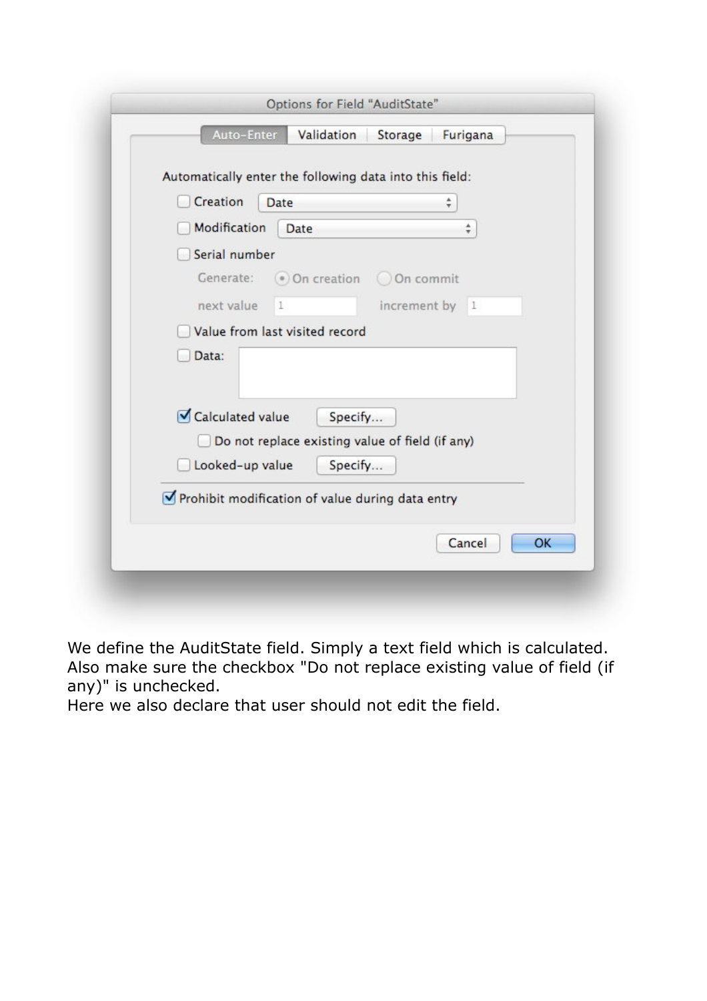| Creation                                     | Date                                                                  | Automatically enter the following data into this field: | $\frac{4}{7}$ |
|----------------------------------------------|-----------------------------------------------------------------------|---------------------------------------------------------|---------------|
| Modification                                 | Date                                                                  |                                                         | ÷             |
| Serial number                                |                                                                       |                                                         |               |
| Generate:                                    | ● On creation ○ On commit                                             |                                                         |               |
| next value                                   | $\mathbf{1}$                                                          | increment by 1                                          |               |
|                                              | Value from last visited record                                        |                                                         |               |
| Data:<br>Calculated value<br>Looked-up value | Specify<br>Do not replace existing value of field (if any)<br>Specify |                                                         |               |
|                                              |                                                                       | Prohibit modification of value during data entry        |               |

We define the AuditState field. Simply a text field which is calculated. Also make sure the checkbox "Do not replace existing value of field (if any)" is unchecked.

Here we also declare that user should not edit the field.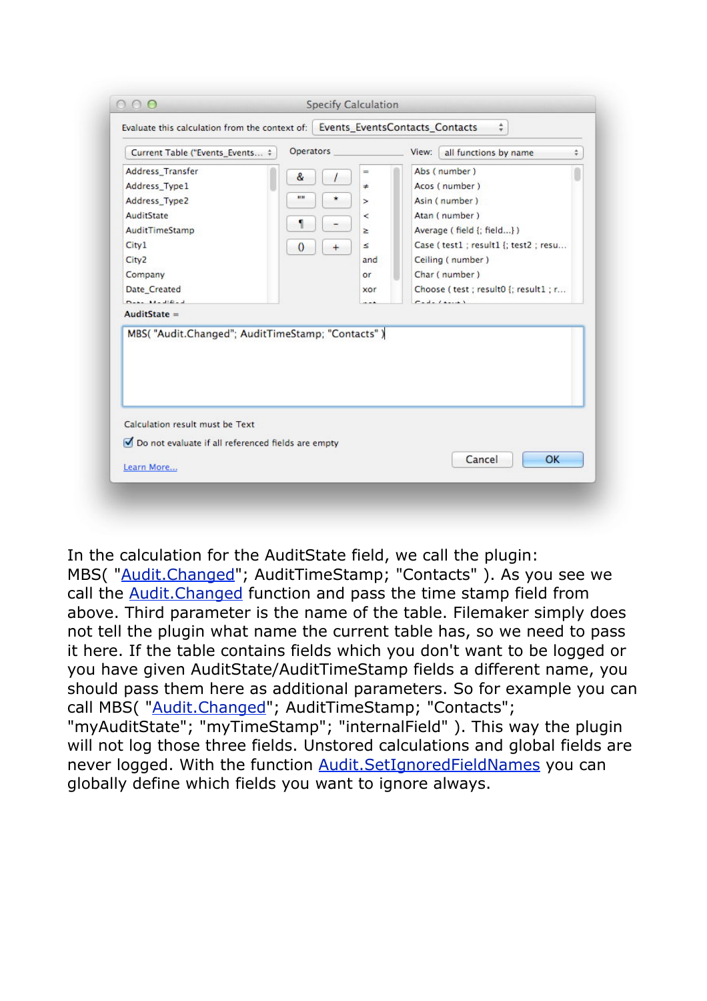| Current Table ("Events_Events #                                                       | Operators             |             | View:<br>all functions by name        | $\frac{4}{7}$ |
|---------------------------------------------------------------------------------------|-----------------------|-------------|---------------------------------------|---------------|
| Address_Transfer                                                                      | &                     | ≕<br>$\ast$ | Abs (number)<br>Acos (number)         |               |
| Address_Type1<br>Address_Type2                                                        | <b>HH</b>             |             | Asin (number)                         |               |
| AuditState                                                                            |                       | >           | Atan (number)                         |               |
| AuditTimeStamp                                                                        |                       | <<br>$\geq$ | Average (field {; field})             |               |
| City <sub>1</sub>                                                                     |                       | ×.          | Case (test1 ; result1 {; test2 ; resu |               |
| City <sub>2</sub>                                                                     | $\theta$<br>$\ddot{}$ | and         | Ceiling (number)                      |               |
| Company                                                                               |                       | or          | Char (number)                         |               |
| Date_Created                                                                          |                       | xor         | Choose (test; result0 {; result1; r   |               |
| $D_{\text{max}} = 11 - 310 - 3$                                                       |                       |             | $T = -1 - 1 + \cdots$                 |               |
| $AuditState =$                                                                        |                       |             |                                       |               |
| MBS( "Audit.Changed"; AuditTimeStamp; "Contacts")                                     |                       |             |                                       |               |
| Calculation result must be Text<br>Do not evaluate if all referenced fields are empty |                       |             | Cancel<br>OK                          |               |

In the calculation for the AuditState field, we call the plugin: MBS( "[Audit.Changed"](http://www.mbsplugins.eu/AuditChanged.shtml); AuditTimeStamp; "Contacts" ). As you see we

call the **[Audit.Changed](http://www.mbsplugins.eu/AuditChanged.shtml)** function and pass the time stamp field from above. Third parameter is the name of the table. Filemaker simply does not tell the plugin what name the current table has, so we need to pass it here. If the table contains fields which you don't want to be logged or you have given AuditState/AuditTimeStamp fields a different name, you should pass them here as additional parameters. So for example you can call MBS( ["Audit.Changed](http://www.mbsplugins.eu/AuditChanged.shtml)"; AuditTimeStamp; "Contacts"; "myAuditState"; "myTimeStamp"; "internalField" ). This way the plugin will not log those three fields. Unstored calculations and global fields are never logged. With the function [Audit.SetIgnoredFieldNames](http://www.mbsplugins.eu/AuditSetIgnoredFieldNames.shtml) you can globally define which fields you want to ignore always.